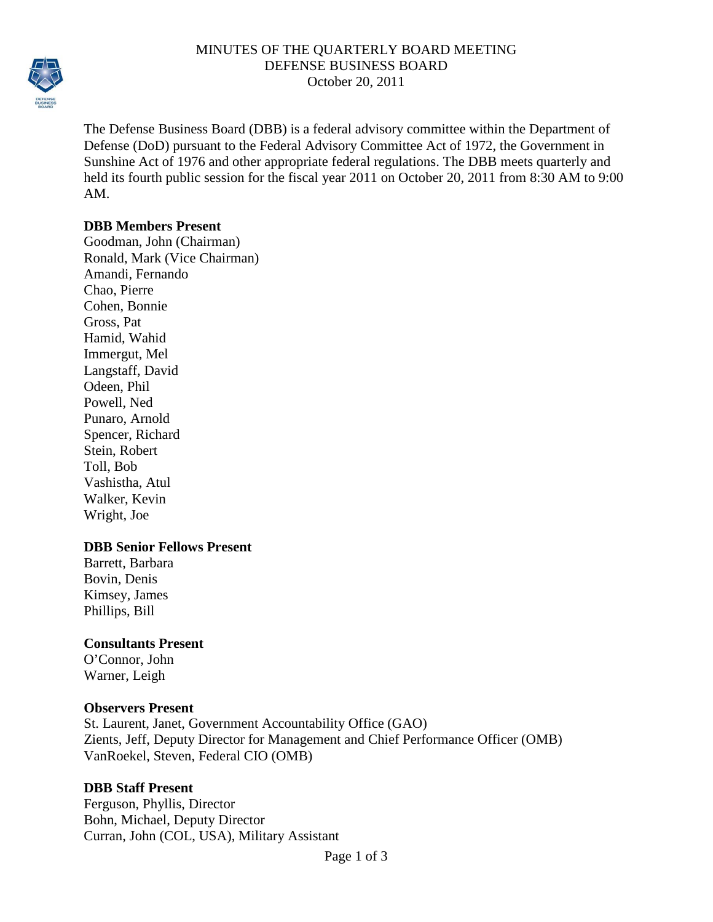

### MINUTES OF THE QUARTERLY BOARD MEETING DEFENSE BUSINESS BOARD October 20, 2011

The Defense Business Board (DBB) is a federal advisory committee within the Department of Defense (DoD) pursuant to the Federal Advisory Committee Act of 1972, the Government in Sunshine Act of 1976 and other appropriate federal regulations. The DBB meets quarterly and held its fourth public session for the fiscal year 2011 on October 20, 2011 from 8:30 AM to 9:00 AM.

#### **DBB Members Present**

Goodman, John (Chairman) Ronald, Mark (Vice Chairman) Amandi, Fernando Chao, Pierre Cohen, Bonnie Gross, Pat Hamid, Wahid Immergut, Mel Langstaff, David Odeen, Phil Powell, Ned Punaro, Arnold Spencer, Richard Stein, Robert Toll, Bob Vashistha, Atul Walker, Kevin Wright, Joe

# **DBB Senior Fellows Present**

Barrett, Barbara Bovin, Denis Kimsey, James Phillips, Bill

#### **Consultants Present**

O'Connor, John Warner, Leigh

#### **Observers Present**

St. Laurent, Janet, Government Accountability Office (GAO) Zients, Jeff, Deputy Director for Management and Chief Performance Officer (OMB) VanRoekel, Steven, Federal CIO (OMB)

# **DBB Staff Present**

Ferguson, Phyllis, Director Bohn, Michael, Deputy Director Curran, John (COL, USA), Military Assistant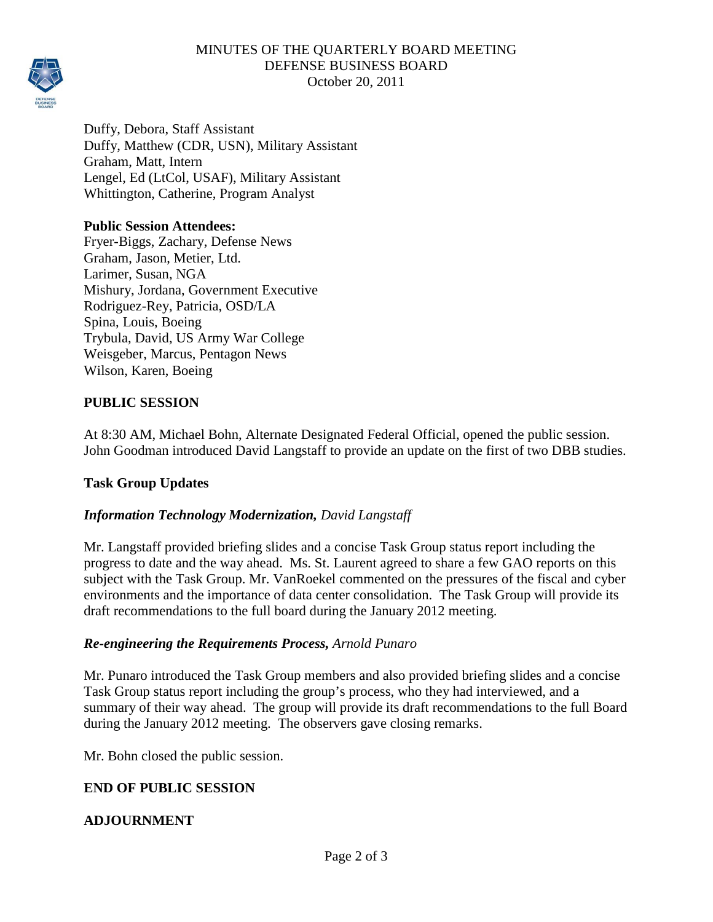

# MINUTES OF THE QUARTERLY BOARD MEETING DEFENSE BUSINESS BOARD October 20, 2011

Duffy, Debora, Staff Assistant Duffy, Matthew (CDR, USN), Military Assistant Graham, Matt, Intern Lengel, Ed (LtCol, USAF), Military Assistant Whittington, Catherine, Program Analyst

### **Public Session Attendees:**

Fryer-Biggs, Zachary, Defense News Graham, Jason, Metier, Ltd. Larimer, Susan, NGA Mishury, Jordana, Government Executive Rodriguez-Rey, Patricia, OSD/LA Spina, Louis, Boeing Trybula, David, US Army War College Weisgeber, Marcus, Pentagon News Wilson, Karen, Boeing

# **PUBLIC SESSION**

At 8:30 AM, Michael Bohn, Alternate Designated Federal Official, opened the public session. John Goodman introduced David Langstaff to provide an update on the first of two DBB studies.

# **Task Group Updates**

# *Information Technology Modernization, David Langstaff*

Mr. Langstaff provided briefing slides and a concise Task Group status report including the progress to date and the way ahead. Ms. St. Laurent agreed to share a few GAO reports on this subject with the Task Group. Mr. VanRoekel commented on the pressures of the fiscal and cyber environments and the importance of data center consolidation. The Task Group will provide its draft recommendations to the full board during the January 2012 meeting.

#### *Re-engineering the Requirements Process, Arnold Punaro*

Mr. Punaro introduced the Task Group members and also provided briefing slides and a concise Task Group status report including the group's process, who they had interviewed, and a summary of their way ahead. The group will provide its draft recommendations to the full Board during the January 2012 meeting. The observers gave closing remarks.

Mr. Bohn closed the public session.

#### **END OF PUBLIC SESSION**

#### **ADJOURNMENT**